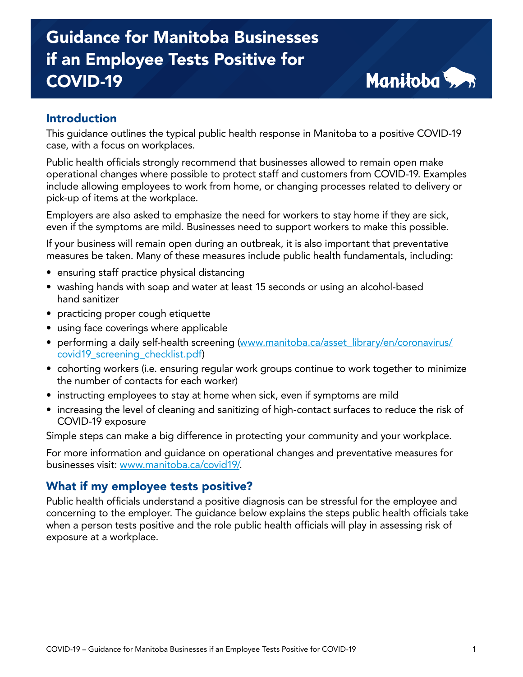# Guidance for Manitoba Businesses if an Employee Tests Positive for COVID-19



## Introduction

This guidance outlines the typical public health response in Manitoba to a positive COVID-19 case, with a focus on workplaces.

Public health officials strongly recommend that businesses allowed to remain open make operational changes where possible to protect staff and customers from COVID-19. Examples include allowing employees to work from home, or changing processes related to delivery or pick-up of items at the workplace.

Employers are also asked to emphasize the need for workers to stay home if they are sick, even if the symptoms are mild. Businesses need to support workers to make this possible.

If your business will remain open during an outbreak, it is also important that preventative measures be taken. Many of these measures include public health fundamentals, including:

- ensuring staff practice physical distancing
- washing hands with soap and water at least 15 seconds or using an alcohol-based hand sanitizer
- practicing proper cough etiquette
- using face coverings where applicable
- performing a daily self-health screening [\(www.manitoba.ca/asset\\_library/en/coronavirus/](http://www.manitoba.ca/asset_library/en/coronavirus/covid19_screening_checklist.pdf) [covid19\\_screening\\_checklist.pdf\)](http://www.manitoba.ca/asset_library/en/coronavirus/covid19_screening_checklist.pdf)
- cohorting workers (i.e. ensuring regular work groups continue to work together to minimize the number of contacts for each worker)
- instructing employees to stay at home when sick, even if symptoms are mild
- increasing the level of cleaning and sanitizing of high-contact surfaces to reduce the risk of COVID-19 exposure

Simple steps can make a big difference in protecting your community and your workplace.

For more information and guidance on operational changes and preventative measures for businesses visit: [www.manitoba.ca/covid19/](http://www.manitoba.ca/covid19/).

#### What if my employee tests positive?

Public health officials understand a positive diagnosis can be stressful for the employee and concerning to the employer. The guidance below explains the steps public health officials take when a person tests positive and the role public health officials will play in assessing risk of exposure at a workplace.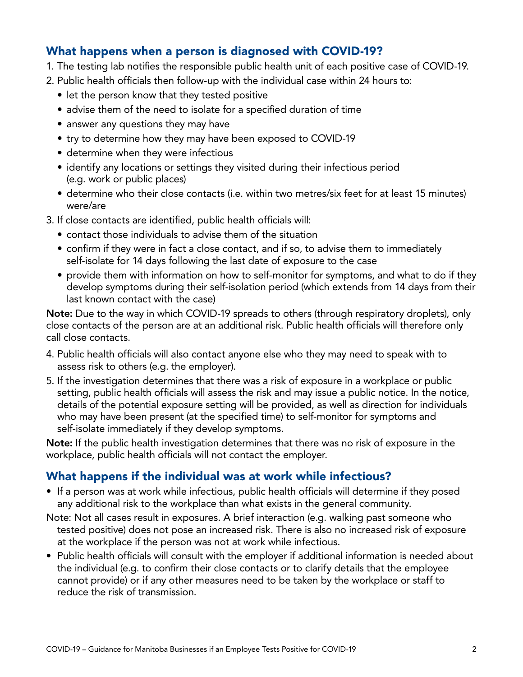## What happens when a person is diagnosed with COVID-19?

- 1. The testing lab notifies the responsible public health unit of each positive case of COVID-19.
- 2. Public health officials then follow-up with the individual case within 24 hours to:
	- let the person know that they tested positive
	- advise them of the need to isolate for a specified duration of time
	- answer any questions they may have
	- try to determine how they may have been exposed to COVID-19
	- determine when they were infectious
	- identify any locations or settings they visited during their infectious period (e.g. work or public places)
	- determine who their close contacts (i.e. within two metres/six feet for at least 15 minutes) were/are
- 3. If close contacts are identified, public health officials will:
	- contact those individuals to advise them of the situation
	- confirm if they were in fact a close contact, and if so, to advise them to immediately self-isolate for 14 days following the last date of exposure to the case
	- provide them with information on how to self-monitor for symptoms, and what to do if they develop symptoms during their self-isolation period (which extends from 14 days from their last known contact with the case)

Note: Due to the way in which COVID-19 spreads to others (through respiratory droplets), only close contacts of the person are at an additional risk. Public health officials will therefore only call close contacts.

- 4. Public health officials will also contact anyone else who they may need to speak with to assess risk to others (e.g. the employer).
- 5. If the investigation determines that there was a risk of exposure in a workplace or public setting, public health officials will assess the risk and may issue a public notice. In the notice, details of the potential exposure setting will be provided, as well as direction for individuals who may have been present (at the specified time) to self-monitor for symptoms and self-isolate immediately if they develop symptoms.

Note: If the public health investigation determines that there was no risk of exposure in the workplace, public health officials will not contact the employer.

## What happens if the individual was at work while infectious?

- If a person was at work while infectious, public health officials will determine if they posed any additional risk to the workplace than what exists in the general community.
- Note: Not all cases result in exposures. A brief interaction (e.g. walking past someone who tested positive) does not pose an increased risk. There is also no increased risk of exposure at the workplace if the person was not at work while infectious.
- Public health officials will consult with the employer if additional information is needed about the individual (e.g. to confirm their close contacts or to clarify details that the employee cannot provide) or if any other measures need to be taken by the workplace or staff to reduce the risk of transmission.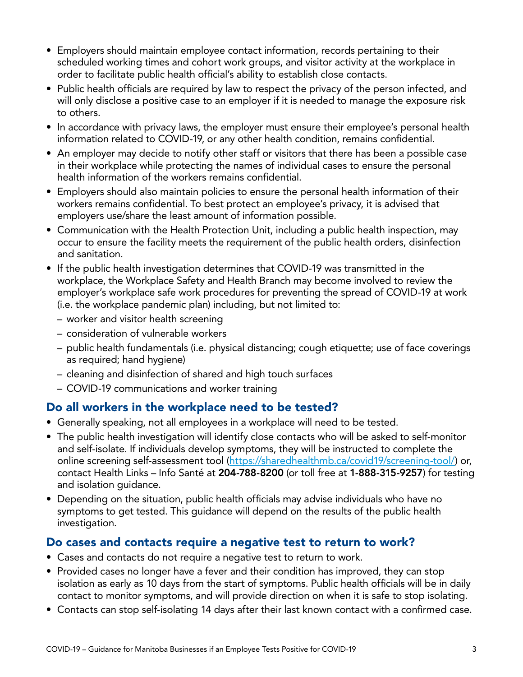- Employers should maintain employee contact information, records pertaining to their scheduled working times and cohort work groups, and visitor activity at the workplace in order to facilitate public health official's ability to establish close contacts.
- Public health officials are required by law to respect the privacy of the person infected, and will only disclose a positive case to an employer if it is needed to manage the exposure risk to others.
- In accordance with privacy laws, the employer must ensure their employee's personal health information related to COVID-19, or any other health condition, remains confidential.
- An employer may decide to notify other staff or visitors that there has been a possible case in their workplace while protecting the names of individual cases to ensure the personal health information of the workers remains confidential.
- Employers should also maintain policies to ensure the personal health information of their workers remains confidential. To best protect an employee's privacy, it is advised that employers use/share the least amount of information possible.
- Communication with the Health Protection Unit, including a public health inspection, may occur to ensure the facility meets the requirement of the public health orders, disinfection and sanitation.
- If the public health investigation determines that COVID-19 was transmitted in the workplace, the Workplace Safety and Health Branch may become involved to review the employer's workplace safe work procedures for preventing the spread of COVID-19 at work (i.e. the workplace pandemic plan) including, but not limited to:
	- worker and visitor health screening
	- consideration of vulnerable workers
	- public health fundamentals (i.e. physical distancing; cough etiquette; use of face coverings as required; hand hygiene)
	- cleaning and disinfection of shared and high touch surfaces
	- COVID-19 communications and worker training

## Do all workers in the workplace need to be tested?

- Generally speaking, not all employees in a workplace will need to be tested.
- The public health investigation will identify close contacts who will be asked to self-monitor and self-isolate. If individuals develop symptoms, they will be instructed to complete the online screening self-assessment tool ([https://sharedhealthmb.ca/covid19/screening-tool/\)](https://sharedhealthmb.ca/covid19/screening-tool/) or, contact Health Links – Info Santé at 204-788-8200 (or toll free at 1-888-315-9257) for testing and isolation guidance.
- Depending on the situation, public health officials may advise individuals who have no symptoms to get tested. This guidance will depend on the results of the public health investigation.

## Do cases and contacts require a negative test to return to work?

- Cases and contacts do not require a negative test to return to work.
- Provided cases no longer have a fever and their condition has improved, they can stop isolation as early as 10 days from the start of symptoms. Public health officials will be in daily contact to monitor symptoms, and will provide direction on when it is safe to stop isolating.
- Contacts can stop self-isolating 14 days after their last known contact with a confirmed case.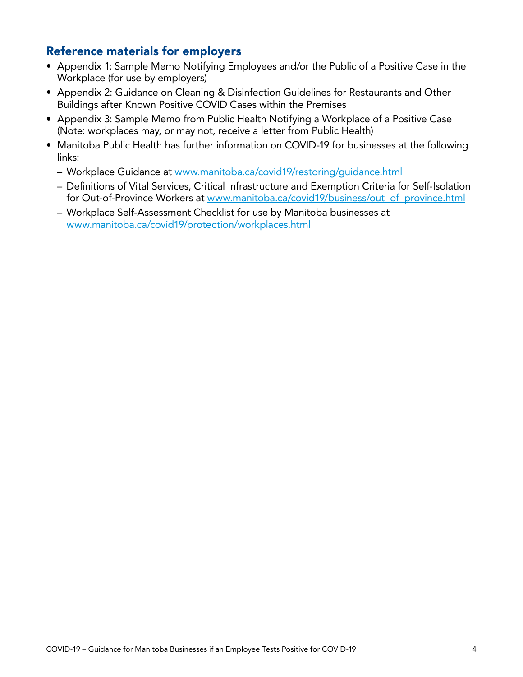## Reference materials for employers

- Appendix 1: Sample Memo Notifying Employees and/or the Public of a Positive Case in the Workplace (for use by employers)
- Appendix 2: Guidance on Cleaning & Disinfection Guidelines for Restaurants and Other Buildings after Known Positive COVID Cases within the Premises
- Appendix 3: Sample Memo from Public Health Notifying a Workplace of a Positive Case (Note: workplaces may, or may not, receive a letter from Public Health)
- Manitoba Public Health has further information on COVID-19 for businesses at the following links:
	- Workplace Guidance at [www.manitoba.ca/covid19/restoring/guidance.html](http://www.manitoba.ca/covid19/restoring/guidance.html)
	- Definitions of Vital Services, Critical Infrastructure and Exemption Criteria for Self-Isolation for Out-of-Province Workers at [www.manitoba.ca/covid19/business/out\\_of\\_province.html](http://www.manitoba.ca/covid19/business/out_of_province.html)
	- Workplace Self-Assessment Checklist for use by Manitoba businesses at [www.manitoba.ca/covid19/protection/workplaces.html](http://www.manitoba.ca/covid19/protection/workplaces.html)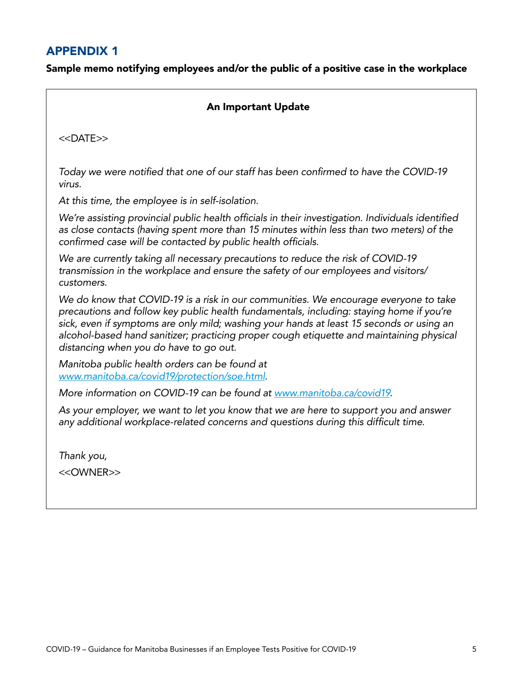## APPENDIX 1

Sample memo notifying employees and/or the public of a positive case in the workplace

|  | <b>An Important Update</b> |
|--|----------------------------|
|  |                            |

<<DATE>>

*Today we were notified that one of our staff has been confirmed to have the COVID-19 virus.* 

*At this time, the employee is in self-isolation.*

*We're assisting provincial public health officials in their investigation. Individuals identified as close contacts (having spent more than 15 minutes within less than two meters) of the confirmed case will be contacted by public health officials.* 

*We are currently taking all necessary precautions to reduce the risk of COVID-19 transmission in the workplace and ensure the safety of our employees and visitors/ customers.* 

*We do know that COVID-19 is a risk in our communities. We encourage everyone to take precautions and follow key public health fundamentals, including: staying home if you're sick, even if symptoms are only mild; washing your hands at least 15 seconds or using an alcohol-based hand sanitizer; practicing proper cough etiquette and maintaining physical distancing when you do have to go out.* 

*Manitoba public health orders can be found at www.[manitoba.ca/covid19/protection/soe.html](http://www.manitoba.ca/covid19/protection/soe.html).*

*More information on COVID-19 can be found at [www.manitoba.ca/covid19](https://www.gov.mb.ca/covid19/).*

*As your employer, we want to let you know that we are here to support you and answer any additional workplace-related concerns and questions during this difficult time.* 

*Thank you,* 

<<OWNER>>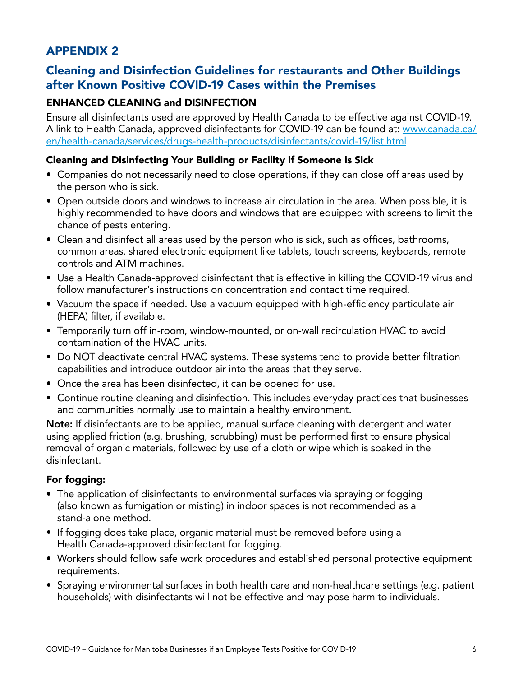## APPENDIX 2

## Cleaning and Disinfection Guidelines for restaurants and Other Buildings after Known Positive COVID-19 Cases within the Premises

#### ENHANCED CLEANING and DISINFECTION

Ensure all disinfectants used are approved by Health Canada to be effective against COVID-19. A link to Health Canada, approved disinfectants for COVID-19 can be found at: [www.canada.ca/](https://www.canada.ca/en/health-canada/services/drugs-health-products/disinfectants/covid-19/list.html) [en/health-canada/services/drugs-health-products/disinfectants/covid-19/list.html](https://www.canada.ca/en/health-canada/services/drugs-health-products/disinfectants/covid-19/list.html)

#### Cleaning and Disinfecting Your Building or Facility if Someone is Sick

- Companies do not necessarily need to close operations, if they can close off areas used by the person who is sick.
- Open outside doors and windows to increase air circulation in the area. When possible, it is highly recommended to have doors and windows that are equipped with screens to limit the chance of pests entering.
- Clean and disinfect all areas used by the person who is sick, such as offices, bathrooms, common areas, shared electronic equipment like tablets, touch screens, keyboards, remote controls and ATM machines.
- Use a Health Canada-approved disinfectant that is effective in killing the COVID-19 virus and follow manufacturer's instructions on concentration and contact time required.
- Vacuum the space if needed. Use a vacuum equipped with high-efficiency particulate air (HEPA) filter, if available.
- Temporarily turn off in-room, window-mounted, or on-wall recirculation HVAC to avoid contamination of the HVAC units.
- Do NOT deactivate central HVAC systems. These systems tend to provide better filtration capabilities and introduce outdoor air into the areas that they serve.
- Once the area has been disinfected, it can be opened for use.
- Continue routine cleaning and disinfection. This includes everyday practices that businesses and communities normally use to maintain a healthy environment.

Note: If disinfectants are to be applied, manual surface cleaning with detergent and water using applied friction (e.g. brushing, scrubbing) must be performed first to ensure physical removal of organic materials, followed by use of a cloth or wipe which is soaked in the disinfectant.

#### For fogging:

- The application of disinfectants to environmental surfaces via spraying or fogging (also known as fumigation or misting) in indoor spaces is not recommended as a stand-alone method.
- If fogging does take place, organic material must be removed before using a Health Canada-approved disinfectant for fogging.
- Workers should follow safe work procedures and established personal protective equipment requirements.
- Spraying environmental surfaces in both health care and non-healthcare settings (e.g. patient households) with disinfectants will not be effective and may pose harm to individuals.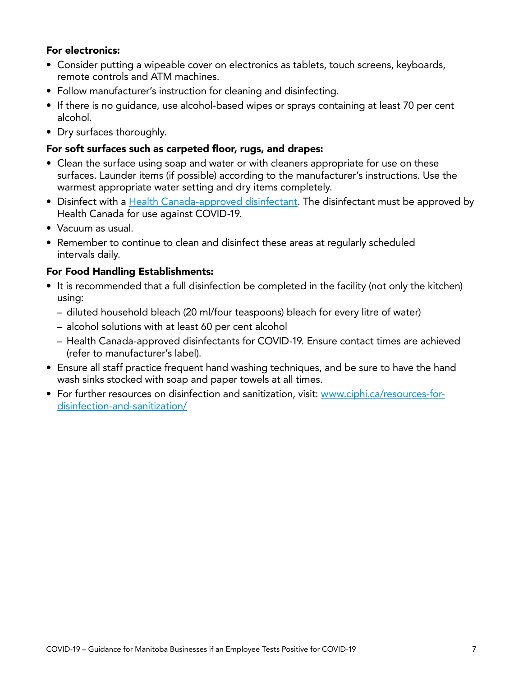#### For electronics:

- Consider putting a wipeable cover on electronics as tablets, touch screens, keyboards, remote controls and ATM machines.
- Follow manufacturer's instruction for cleaning and disinfecting.
- If there is no guidance, use alcohol-based wipes or sprays containing at least 70 per cent alcohol.
- Dry surfaces thoroughly.

#### For soft surfaces such as carpeted floor, rugs, and drapes:

- Clean the surface using soap and water or with cleaners appropriate for use on these surfaces. Launder items (if possible) according to the manufacturer's instructions. Use the warmest appropriate water setting and dry items completely.
- Disinfect with a [Health Canada-approved disinfectant](https://www.canada.ca/en/health-canada/services/drugs-health-products/disinfectants/covid-19/list.html). The disinfectant must be approved by Health Canada for use against COVID-19.
- Vacuum as usual.
- Remember to continue to clean and disinfect these areas at regularly scheduled intervals daily.

#### For Food Handling Establishments:

- It is recommended that a full disinfection be completed in the facility (not only the kitchen) using:
	- diluted household bleach (20 ml/four teaspoons) bleach for every litre of water)
	- alcohol solutions with at least 60 per cent alcohol
	- Health Canada-approved disinfectants for COVID-19. Ensure contact times are achieved (refer to manufacturer's label).
- Ensure all staff practice frequent hand washing techniques, and be sure to have the hand wash sinks stocked with soap and paper towels at all times.
- For further resources on disinfection and sanitization, visit: [www.ciphi.ca/resources-for](http://www.ciphi.ca/resources-for-disinfection-and-sanitization/)[disinfection-and-sanitization/](http://www.ciphi.ca/resources-for-disinfection-and-sanitization/)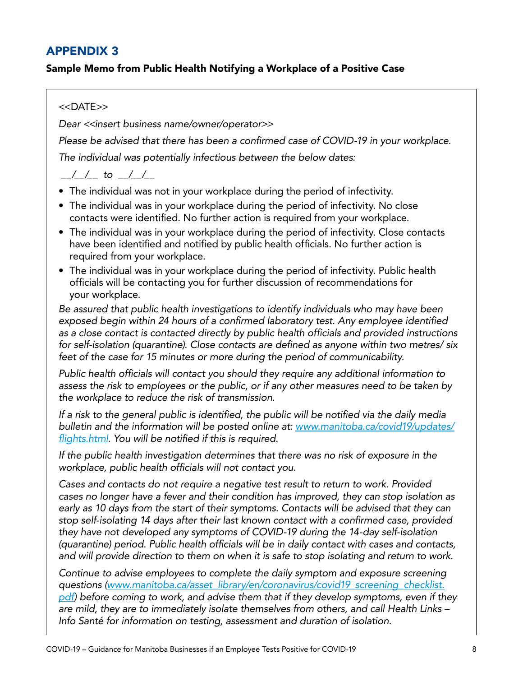## APPENDIX 3

#### Sample Memo from Public Health Notifying a Workplace of a Positive Case

#### <<DATE>>

*Dear <<insert business name/owner/operator>>*

*Please be advised that there has been a confirmed case of COVID-19 in your workplace.*

*The individual was potentially infectious between the below dates:*

## *\_\_/\_\_/\_\_ to \_\_/\_\_/\_\_*

- The individual was not in your workplace during the period of infectivity.
- The individual was in your workplace during the period of infectivity. No close contacts were identified. No further action is required from your workplace.
- The individual was in your workplace during the period of infectivity. Close contacts have been identified and notified by public health officials. No further action is required from your workplace.
- The individual was in your workplace during the period of infectivity. Public health officials will be contacting you for further discussion of recommendations for your workplace.

*Be assured that public health investigations to identify individuals who may have been exposed begin within 24 hours of a confirmed laboratory test. Any employee identified as a close contact is contacted directly by public health officials and provided instructions for self-isolation (quarantine). Close contacts are defined as anyone within two metres/ six feet of the case for 15 minutes or more during the period of communicability.* 

*Public health officials will contact you should they require any additional information to assess the risk to employees or the public, or if any other measures need to be taken by the workplace to reduce the risk of transmission.* 

*If a risk to the general public is identified, the public will be notified via the daily media bulletin and the information will be posted online at: [www.manitoba.ca/covid19/updates/](http://www.manitoba.ca/covid19/updates/flights.html) [flights.html](http://www.manitoba.ca/covid19/updates/flights.html). You will be notified if this is required.* 

*If the public health investigation determines that there was no risk of exposure in the workplace, public health officials will not contact you.* 

*Cases and contacts do not require a negative test result to return to work. Provided cases no longer have a fever and their condition has improved, they can stop isolation as early as 10 days from the start of their symptoms. Contacts will be advised that they can stop self-isolating 14 days after their last known contact with a confirmed case, provided they have not developed any symptoms of COVID-19 during the 14-day self-isolation (quarantine) period. Public health officials will be in daily contact with cases and contacts, and will provide direction to them on when it is safe to stop isolating and return to work.* 

*Continue to advise employees to complete the daily symptom and exposure screening questions [\(www.manitoba.ca/asset\\_library/en/coronavirus/covid19\\_screening\\_checklist.](http://www.manitoba.ca/asset_library/en/coronavirus/covid19_screening_checklist.pdf) [pdf\)](http://www.manitoba.ca/asset_library/en/coronavirus/covid19_screening_checklist.pdf) before coming to work, and advise them that if they develop symptoms, even if they are mild, they are to immediately isolate themselves from others, and call Health Links – Info Santé for information on testing, assessment and duration of isolation.*